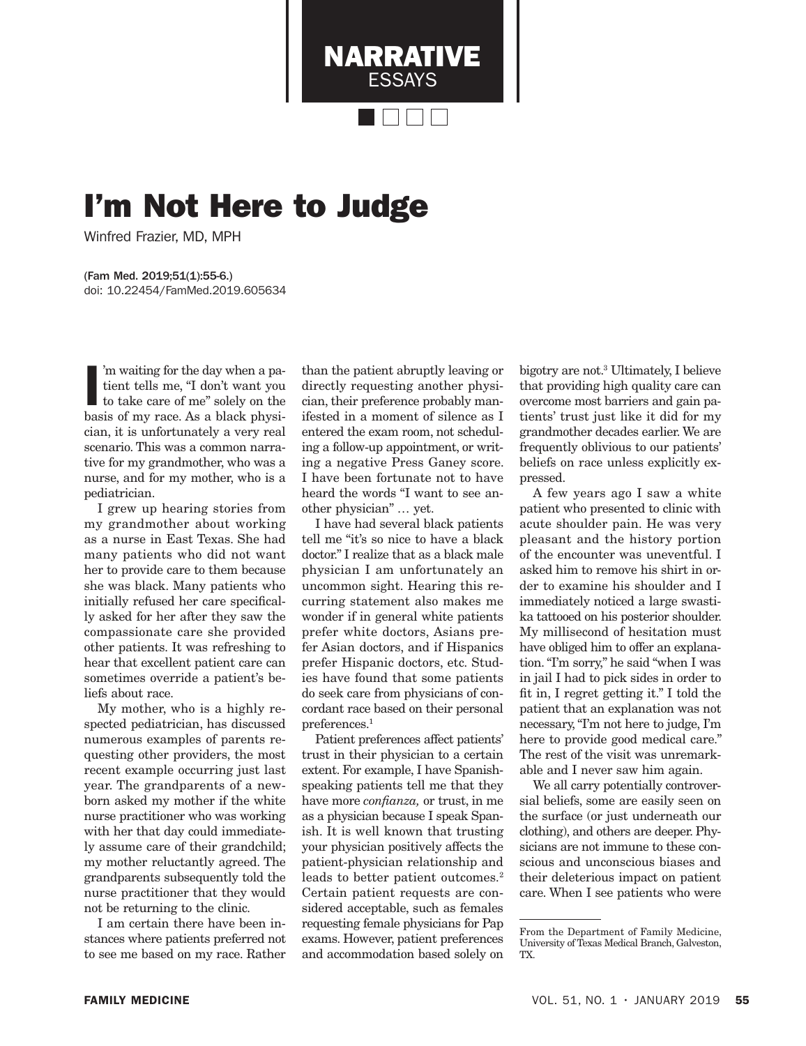I'm Not Here to Judge

Winfred Frazier, MD, MPH

(Fam Med. 2019;51(1):55-6.) doi: 10.22454/FamMed.2019.605634

I'm waiting for the day when a patient tells me, "I don't want you to take care of me" solely on the basis of my race. As a black physi-'m waiting for the day when a patient tells me, "I don't want you to take care of me" solely on the cian, it is unfortunately a very real scenario. This was a common narrative for my grandmother, who was a nurse, and for my mother, who is a pediatrician.

I grew up hearing stories from my grandmother about working as a nurse in East Texas. She had many patients who did not want her to provide care to them because she was black. Many patients who initially refused her care specifically asked for her after they saw the compassionate care she provided other patients. It was refreshing to hear that excellent patient care can sometimes override a patient's beliefs about race.

My mother, who is a highly respected pediatrician, has discussed numerous examples of parents requesting other providers, the most recent example occurring just last year. The grandparents of a newborn asked my mother if the white nurse practitioner who was working with her that day could immediately assume care of their grandchild; my mother reluctantly agreed. The grandparents subsequently told the nurse practitioner that they would not be returning to the clinic.

I am certain there have been instances where patients preferred not to see me based on my race. Rather than the patient abruptly leaving or directly requesting another physician, their preference probably manifested in a moment of silence as I entered the exam room, not scheduling a follow-up appointment, or writing a negative Press Ganey score. I have been fortunate not to have heard the words "I want to see another physician" … yet.

NARRATIVE ESSAYS

I have had several black patients tell me "it's so nice to have a black doctor." I realize that as a black male physician I am unfortunately an uncommon sight. Hearing this recurring statement also makes me wonder if in general white patients prefer white doctors, Asians prefer Asian doctors, and if Hispanics prefer Hispanic doctors, etc. Studies have found that some patients do seek care from physicians of concordant race based on their personal preferences.<sup>1</sup>

Patient preferences affect patients' trust in their physician to a certain extent. For example, I have Spanishspeaking patients tell me that they have more *confianza,* or trust, in me as a physician because I speak Spanish. It is well known that trusting your physician positively affects the patient-physician relationship and leads to better patient outcomes.<sup>2</sup> Certain patient requests are considered acceptable, such as females requesting female physicians for Pap exams. However, patient preferences and accommodation based solely on

bigotry are not.3 Ultimately, I believe that providing high quality care can overcome most barriers and gain patients' trust just like it did for my grandmother decades earlier. We are frequently oblivious to our patients' beliefs on race unless explicitly expressed.

A few years ago I saw a white patient who presented to clinic with acute shoulder pain. He was very pleasant and the history portion of the encounter was uneventful. I asked him to remove his shirt in order to examine his shoulder and I immediately noticed a large swastika tattooed on his posterior shoulder. My millisecond of hesitation must have obliged him to offer an explanation. "I'm sorry," he said "when I was in jail I had to pick sides in order to fit in, I regret getting it." I told the patient that an explanation was not necessary, "I'm not here to judge, I'm here to provide good medical care." The rest of the visit was unremarkable and I never saw him again.

We all carry potentially controversial beliefs, some are easily seen on the surface (or just underneath our clothing), and others are deeper. Physicians are not immune to these conscious and unconscious biases and their deleterious impact on patient care. When I see patients who were

From the Department of Family Medicine, University of Texas Medical Branch, Galveston, TX.